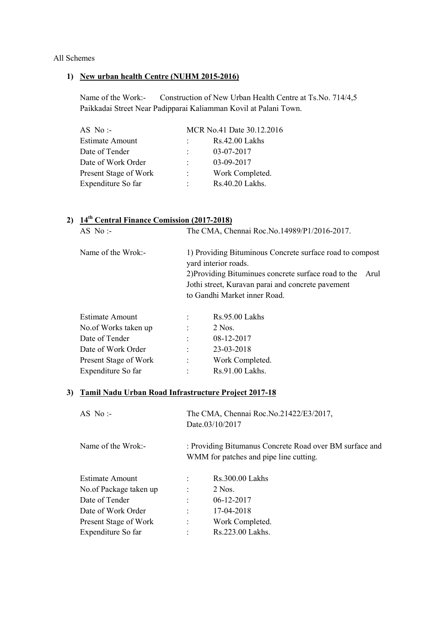#### All Schemes

#### 1) New urban health Centre (NUHM 2015-2016)

Name of the Work:- Construction of New Urban Health Centre at Ts.No. 714/4,5 Paikkadai Street Near Padipparai Kaliamman Kovil at Palani Town.

| AS No:                 |                           | MCR No.41 Date 30.12.2016 |
|------------------------|---------------------------|---------------------------|
| <b>Estimate Amount</b> |                           | Rs.42.00 Lakhs            |
| Date of Tender         |                           | 03-07-2017                |
| Date of Work Order     |                           | 03-09-2017                |
| Present Stage of Work  | $\mathbb{R}^{\mathbb{Z}}$ | Work Completed.           |
| Expenditure So far     | $\bullet$ .               | Rs.40.20 Lakhs.           |

# 2) 14<sup>th</sup> Central Finance Comission (2017-2018)

| AS No :-           | The CMA, Chennai Roc. No. 14989/P1/2016-2017.                                                                                             |      |
|--------------------|-------------------------------------------------------------------------------------------------------------------------------------------|------|
| Name of the Wrok:- | 1) Providing Bituminous Concrete surface road to compost<br>yard interior roads.                                                          |      |
|                    | 2) Providing Bituminues concrete surface road to the<br>Jothi street, Kuravan parai and concrete pavement<br>to Gandhi Market inner Road. | Arul |
|                    |                                                                                                                                           |      |

| <b>Estimate Amount</b> |                      | Rs.95.00 Lakhs  |
|------------------------|----------------------|-----------------|
| No.of Works taken up   | $\ddot{\phantom{a}}$ | 2 Nos.          |
| Date of Tender         |                      | 08-12-2017      |
| Date of Work Order     | $\ddot{\cdot}$       | 23-03-2018      |
| Present Stage of Work  | $\ddot{\phantom{a}}$ | Work Completed. |
| Expenditure So far     | $\mathcal{L}$        | Rs.91.00 Lakhs. |
|                        |                      |                 |

#### 3) Tamil Nadu Urban Road Infrastructure Project 2017-18

| AS No:-                |                      | The CMA, Chennai Roc. No. 21422/E3/2017,<br>Date.03/10/2017                                       |
|------------------------|----------------------|---------------------------------------------------------------------------------------------------|
| Name of the Wrok:-     |                      | : Providing Bitumanus Concrete Road over BM surface and<br>WMM for patches and pipe line cutting. |
| Estimate Amount        | $\ddot{\phantom{a}}$ | Rs.300.00 Lakhs                                                                                   |
| No.of Package taken up |                      | 2 Nos.                                                                                            |
| Date of Tender         |                      | $06-12-2017$                                                                                      |
| Date of Work Order     | $\ddot{\cdot}$       | 17-04-2018                                                                                        |
| Present Stage of Work  | $\ddot{\phantom{a}}$ | Work Completed.                                                                                   |
| Expenditure So far     | $\ddot{\cdot}$       | Rs.223.00 Lakhs.                                                                                  |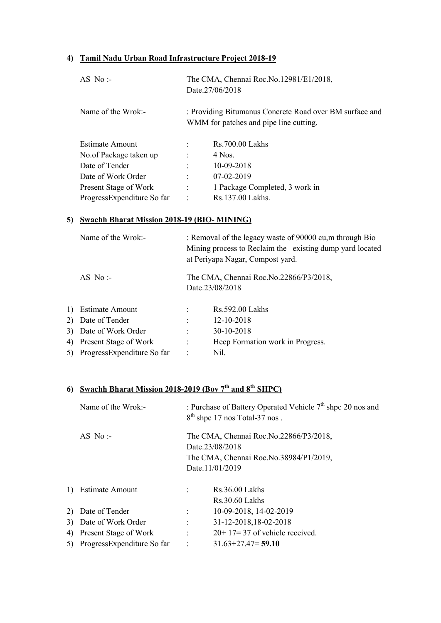## 4) Tamil Nadu Urban Road Infrastructure Project 2018-19

| AS No:                     |                | The CMA, Chennai Roc. No. 12981/E1/2018,<br>Date.27/06/2018                                       |
|----------------------------|----------------|---------------------------------------------------------------------------------------------------|
| Name of the Wrok:-         |                | : Providing Bitumanus Concrete Road over BM surface and<br>WMM for patches and pipe line cutting. |
| Estimate Amount            | $\ddot{\cdot}$ | Rs.700.00 Lakhs                                                                                   |
| No.of Package taken up     | $\ddot{\cdot}$ | 4 Nos.                                                                                            |
| Date of Tender             | $\ddot{\cdot}$ | 10-09-2018                                                                                        |
| Date of Work Order         | $\ddot{\cdot}$ | $07-02-2019$                                                                                      |
| Present Stage of Work      | $\ddot{\cdot}$ | 1 Package Completed, 3 work in                                                                    |
| ProgressExpenditure So far | $\ddot{\cdot}$ | Rs.137.00 Lakhs.                                                                                  |

## 5) Swachh Bharat Mission 2018-19 (BIO- MINING)

| Name of the Wrok:-            | : Removal of the legacy waste of 90000 cu, m through Bio<br>Mining process to Reclaim the existing dump yard located<br>at Periyapa Nagar, Compost yard. |                                                           |
|-------------------------------|----------------------------------------------------------------------------------------------------------------------------------------------------------|-----------------------------------------------------------|
| AS No:                        |                                                                                                                                                          | The CMA, Chennai Roc.No.22866/P3/2018,<br>Date.23/08/2018 |
| 1) Estimate Amount            |                                                                                                                                                          | Rs.592.00 Lakhs                                           |
| 2) Date of Tender             |                                                                                                                                                          | 12-10-2018                                                |
| 3) Date of Work Order         | $\ddot{\cdot}$                                                                                                                                           | 30-10-2018                                                |
| 4) Present Stage of Work      | $\ddot{\phantom{a}}$                                                                                                                                     | Heep Formation work in Progress.                          |
| 5) ProgressExpenditure So far | $\ddot{\cdot}$                                                                                                                                           | Nil.                                                      |

# 6) Swachh Bharat Mission 2018-2019 (Bov  $7<sup>th</sup>$  and  $8<sup>th</sup>$  SHPC)

|                               |                                                             | : Purchase of Battery Operated Vehicle 7 <sup>th</sup> shpc 20 nos and<br>$8th$ shpc 17 nos Total-37 nos. |  |  |
|-------------------------------|-------------------------------------------------------------|-----------------------------------------------------------------------------------------------------------|--|--|
| AS No:-                       | The CMA, Chennai Roc. No. 22866/P3/2018,<br>Date.23/08/2018 |                                                                                                           |  |  |
|                               |                                                             | The CMA, Chennai Roc.No.38984/P1/2019,                                                                    |  |  |
|                               |                                                             | Date.11/01/2019                                                                                           |  |  |
| 1) Estimate Amount            |                                                             | $Rs.36.00$ Lakhs                                                                                          |  |  |
|                               |                                                             | $Rs.30.60$ Lakhs                                                                                          |  |  |
| 2) Date of Tender             | $\ddot{\phantom{0}}$                                        | 10-09-2018, 14-02-2019                                                                                    |  |  |
| 3) Date of Work Order         |                                                             | 31-12-2018,18-02-2018                                                                                     |  |  |
| 4) Present Stage of Work      | $\ddot{\phantom{a}}$                                        | $20+17=37$ of vehicle received.                                                                           |  |  |
| 5) ProgressExpenditure So far | $\cdot$ :                                                   | $31.63 + 27.47 = 59.10$                                                                                   |  |  |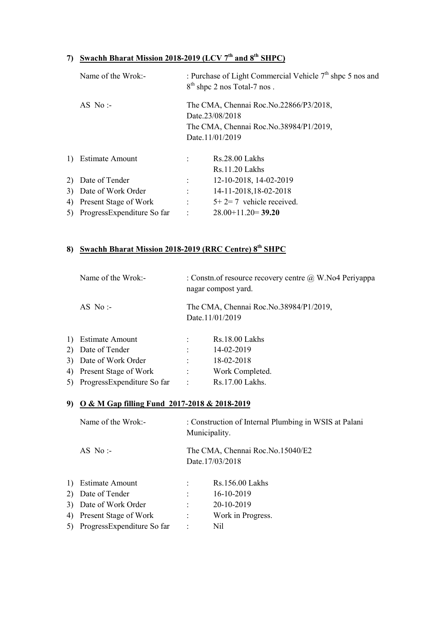# 7) Swachh Bharat Mission 2018-2019 (LCV  $7<sup>th</sup>$  and  $8<sup>th</sup>$  SHPC)

|    | Name of the Wrok:-            |                      | : Purchase of Light Commercial Vehicle 7 <sup>th</sup> shpc 5 nos and<br>$8th$ shpc 2 nos Total-7 nos. |
|----|-------------------------------|----------------------|--------------------------------------------------------------------------------------------------------|
|    | AS No:-                       |                      | The CMA, Chennai Roc. No. 22866/P3/2018,<br>Date.23/08/2018                                            |
|    |                               |                      | The CMA, Chennai Roc. No. 38984/P1/2019,                                                               |
|    |                               |                      |                                                                                                        |
|    |                               |                      | Date.11/01/2019                                                                                        |
|    | 1) Estimate Amount            |                      | Rs.28.00 Lakhs                                                                                         |
|    |                               |                      | $Rs.11.20$ Lakhs                                                                                       |
|    | 2) Date of Tender             | $\ddot{\phantom{0}}$ | 12-10-2018, 14-02-2019                                                                                 |
|    | 3) Date of Work Order         |                      | 14-11-2018, 18-02-2018                                                                                 |
| 4) | Present Stage of Work         | $\ddot{\phantom{a}}$ | $5+2=7$ vehicle received.                                                                              |
|    | 5) ProgressExpenditure So far | $\cdot$              | $28.00+11.20=39.20$                                                                                    |
|    |                               |                      |                                                                                                        |

# 8) Swachh Bharat Mission 2018-2019 (RRC Centre) 8<sup>th</sup> SHPC

| Name of the Wrok:-       | : Constn.of resource recovery centre $\omega$ W. No4 Periyappa<br>nagar compost yard. |                                                           |
|--------------------------|---------------------------------------------------------------------------------------|-----------------------------------------------------------|
| AS No:-                  |                                                                                       | The CMA, Chennai Roc.No.38984/P1/2019,<br>Date.11/01/2019 |
| 1) Estimate Amount       |                                                                                       | Rs.18.00 Lakhs                                            |
| 2) Date of Tender        |                                                                                       | 14-02-2019                                                |
| 3) Date of Work Order    |                                                                                       | 18-02-2018                                                |
| 4) Present Stage of Work |                                                                                       | Work Completed.                                           |

# 5) ProgressExpenditure So far : Rs.17.00 Lakhs.

## 9) O & M Gap filling Fund 2017-2018 & 2018-2019

|    | Name of the Wrok:-            |                      | : Construction of Internal Plumbing in WSIS at Palani<br>Municipality. |  |  |  |
|----|-------------------------------|----------------------|------------------------------------------------------------------------|--|--|--|
|    | AS No:                        |                      | The CMA, Chennai Roc.No.15040/E2<br>Date.17/03/2018                    |  |  |  |
|    | 1) Estimate Amount            | $\ddot{\phantom{a}}$ | Rs.156.00 Lakhs                                                        |  |  |  |
|    | 2) Date of Tender             | $\ddot{\phantom{a}}$ | 16-10-2019                                                             |  |  |  |
|    | 3) Date of Work Order         | $\ddot{\cdot}$       | 20-10-2019                                                             |  |  |  |
| 4) | Present Stage of Work         | $\ddot{\cdot}$       | Work in Progress.                                                      |  |  |  |
|    | 5) ProgressExpenditure So far | $\ddot{\cdot}$       | Nil                                                                    |  |  |  |